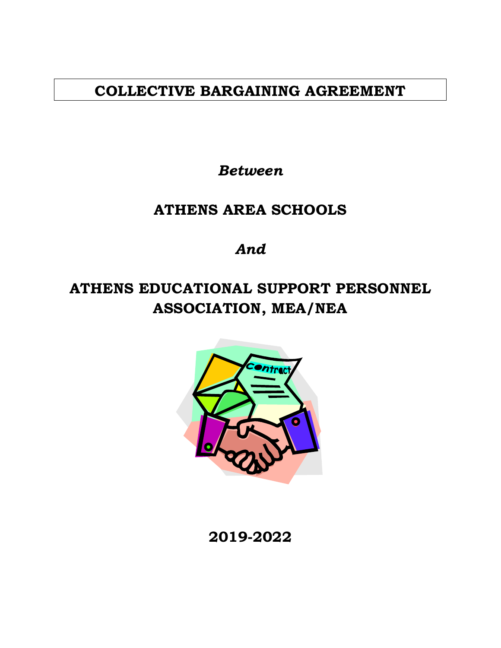# **COLLECTIVE BARGAINING AGREEMENT**

*Between*

# **ATHENS AREA SCHOOLS**

*And*

# **ATHENS EDUCATIONAL SUPPORT PERSONNEL ASSOCIATION, MEA/NEA**



**2019-2022**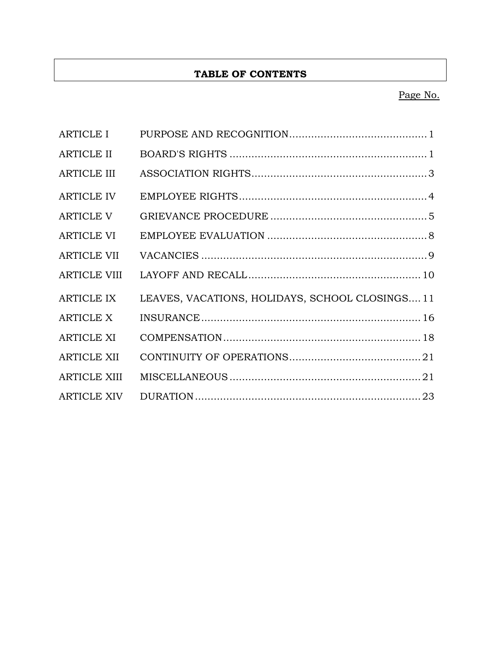## **TABLE OF CONTENTS**

# Page No.

| <b>ARTICLE I</b>    |                                                 |  |
|---------------------|-------------------------------------------------|--|
| <b>ARTICLE II</b>   |                                                 |  |
| <b>ARTICLE III</b>  |                                                 |  |
| <b>ARTICLE IV</b>   |                                                 |  |
| <b>ARTICLE V</b>    |                                                 |  |
| <b>ARTICLE VI</b>   |                                                 |  |
| <b>ARTICLE VII</b>  |                                                 |  |
| <b>ARTICLE VIII</b> |                                                 |  |
| <b>ARTICLE IX</b>   | LEAVES, VACATIONS, HOLIDAYS, SCHOOL CLOSINGS 11 |  |
| <b>ARTICLE X</b>    |                                                 |  |
| <b>ARTICLE XI</b>   |                                                 |  |
| <b>ARTICLE XII</b>  |                                                 |  |
| <b>ARTICLE XIII</b> |                                                 |  |
| <b>ARTICLE XIV</b>  |                                                 |  |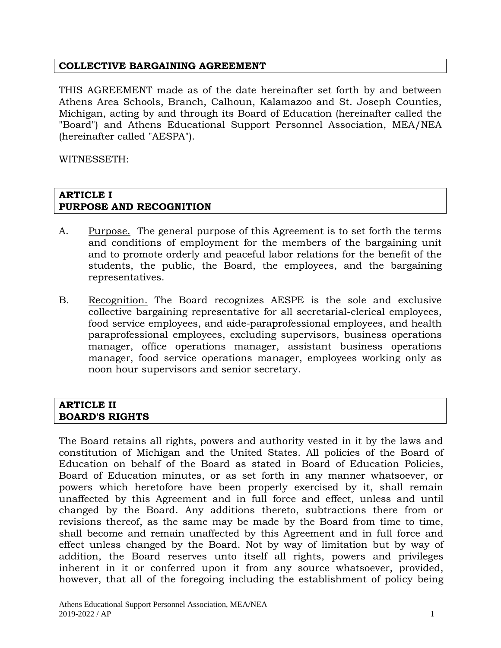#### **COLLECTIVE BARGAINING AGREEMENT**

THIS AGREEMENT made as of the date hereinafter set forth by and between Athens Area Schools, Branch, Calhoun, Kalamazoo and St. Joseph Counties, Michigan, acting by and through its Board of Education (hereinafter called the "Board") and Athens Educational Support Personnel Association, MEA/NEA (hereinafter called "AESPA").

WITNESSETH:

#### **ARTICLE I PURPOSE AND RECOGNITION**

- A. Purpose. The general purpose of this Agreement is to set forth the terms and conditions of employment for the members of the bargaining unit and to promote orderly and peaceful labor relations for the benefit of the students, the public, the Board, the employees, and the bargaining representatives.
- B. Recognition. The Board recognizes AESPE is the sole and exclusive collective bargaining representative for all secretarial-clerical employees, food service employees, and aide-paraprofessional employees, and health paraprofessional employees, excluding supervisors, business operations manager, office operations manager, assistant business operations manager, food service operations manager, employees working only as noon hour supervisors and senior secretary.

#### **ARTICLE II BOARD'S RIGHTS**

The Board retains all rights, powers and authority vested in it by the laws and constitution of Michigan and the United States. All policies of the Board of Education on behalf of the Board as stated in Board of Education Policies, Board of Education minutes, or as set forth in any manner whatsoever, or powers which heretofore have been properly exercised by it, shall remain unaffected by this Agreement and in full force and effect, unless and until changed by the Board. Any additions thereto, subtractions there from or revisions thereof, as the same may be made by the Board from time to time, shall become and remain unaffected by this Agreement and in full force and effect unless changed by the Board. Not by way of limitation but by way of addition, the Board reserves unto itself all rights, powers and privileges inherent in it or conferred upon it from any source whatsoever, provided, however, that all of the foregoing including the establishment of policy being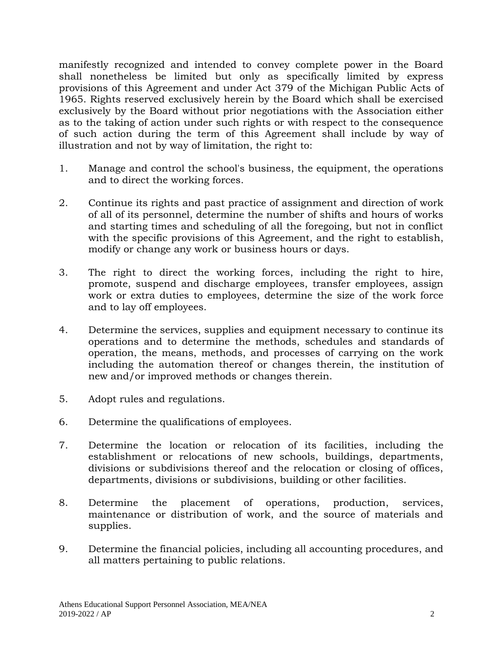manifestly recognized and intended to convey complete power in the Board shall nonetheless be limited but only as specifically limited by express provisions of this Agreement and under Act 379 of the Michigan Public Acts of 1965. Rights reserved exclusively herein by the Board which shall be exercised exclusively by the Board without prior negotiations with the Association either as to the taking of action under such rights or with respect to the consequence of such action during the term of this Agreement shall include by way of illustration and not by way of limitation, the right to:

- 1. Manage and control the school's business, the equipment, the operations and to direct the working forces.
- 2. Continue its rights and past practice of assignment and direction of work of all of its personnel, determine the number of shifts and hours of works and starting times and scheduling of all the foregoing, but not in conflict with the specific provisions of this Agreement, and the right to establish, modify or change any work or business hours or days.
- 3. The right to direct the working forces, including the right to hire, promote, suspend and discharge employees, transfer employees, assign work or extra duties to employees, determine the size of the work force and to lay off employees.
- 4. Determine the services, supplies and equipment necessary to continue its operations and to determine the methods, schedules and standards of operation, the means, methods, and processes of carrying on the work including the automation thereof or changes therein, the institution of new and/or improved methods or changes therein.
- 5. Adopt rules and regulations.
- 6. Determine the qualifications of employees.
- 7. Determine the location or relocation of its facilities, including the establishment or relocations of new schools, buildings, departments, divisions or subdivisions thereof and the relocation or closing of offices, departments, divisions or subdivisions, building or other facilities.
- 8. Determine the placement of operations, production, services, maintenance or distribution of work, and the source of materials and supplies.
- 9. Determine the financial policies, including all accounting procedures, and all matters pertaining to public relations.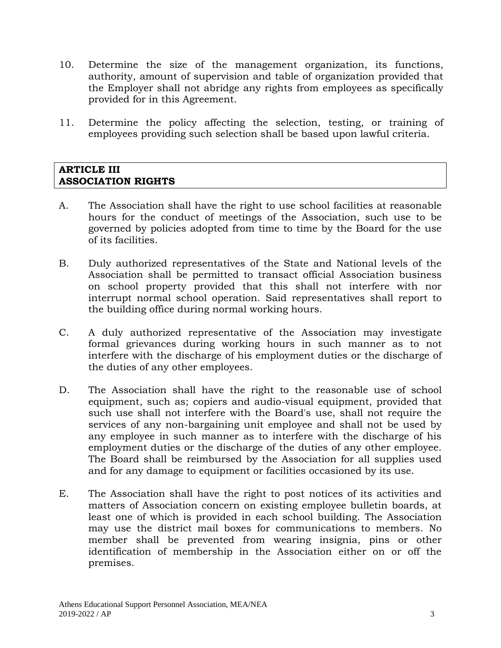- 10. Determine the size of the management organization, its functions, authority, amount of supervision and table of organization provided that the Employer shall not abridge any rights from employees as specifically provided for in this Agreement.
- 11. Determine the policy affecting the selection, testing, or training of employees providing such selection shall be based upon lawful criteria.

#### **ARTICLE III ASSOCIATION RIGHTS**

- A. The Association shall have the right to use school facilities at reasonable hours for the conduct of meetings of the Association, such use to be governed by policies adopted from time to time by the Board for the use of its facilities.
- B. Duly authorized representatives of the State and National levels of the Association shall be permitted to transact official Association business on school property provided that this shall not interfere with nor interrupt normal school operation. Said representatives shall report to the building office during normal working hours.
- C. A duly authorized representative of the Association may investigate formal grievances during working hours in such manner as to not interfere with the discharge of his employment duties or the discharge of the duties of any other employees.
- D. The Association shall have the right to the reasonable use of school equipment, such as; copiers and audio-visual equipment, provided that such use shall not interfere with the Board's use, shall not require the services of any non-bargaining unit employee and shall not be used by any employee in such manner as to interfere with the discharge of his employment duties or the discharge of the duties of any other employee. The Board shall be reimbursed by the Association for all supplies used and for any damage to equipment or facilities occasioned by its use.
- E. The Association shall have the right to post notices of its activities and matters of Association concern on existing employee bulletin boards, at least one of which is provided in each school building. The Association may use the district mail boxes for communications to members. No member shall be prevented from wearing insignia, pins or other identification of membership in the Association either on or off the premises.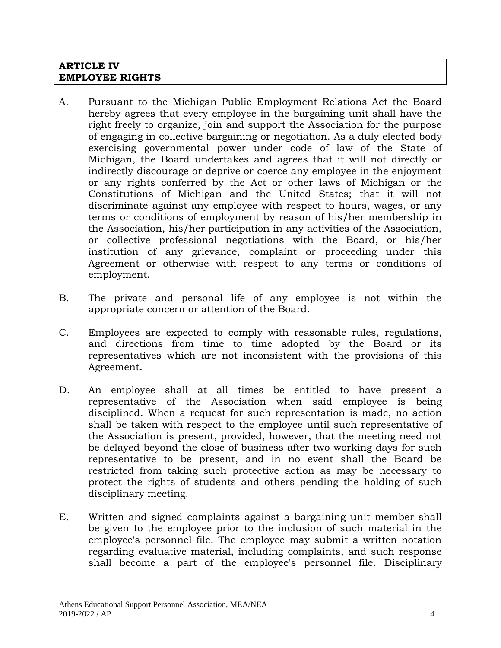#### **ARTICLE IV EMPLOYEE RIGHTS**

- A. Pursuant to the Michigan Public Employment Relations Act the Board hereby agrees that every employee in the bargaining unit shall have the right freely to organize, join and support the Association for the purpose of engaging in collective bargaining or negotiation. As a duly elected body exercising governmental power under code of law of the State of Michigan, the Board undertakes and agrees that it will not directly or indirectly discourage or deprive or coerce any employee in the enjoyment or any rights conferred by the Act or other laws of Michigan or the Constitutions of Michigan and the United States; that it will not discriminate against any employee with respect to hours, wages, or any terms or conditions of employment by reason of his/her membership in the Association, his/her participation in any activities of the Association, or collective professional negotiations with the Board, or his/her institution of any grievance, complaint or proceeding under this Agreement or otherwise with respect to any terms or conditions of employment.
- B. The private and personal life of any employee is not within the appropriate concern or attention of the Board.
- C. Employees are expected to comply with reasonable rules, regulations, and directions from time to time adopted by the Board or its representatives which are not inconsistent with the provisions of this Agreement.
- D. An employee shall at all times be entitled to have present a representative of the Association when said employee is being disciplined. When a request for such representation is made, no action shall be taken with respect to the employee until such representative of the Association is present, provided, however, that the meeting need not be delayed beyond the close of business after two working days for such representative to be present, and in no event shall the Board be restricted from taking such protective action as may be necessary to protect the rights of students and others pending the holding of such disciplinary meeting.
- E. Written and signed complaints against a bargaining unit member shall be given to the employee prior to the inclusion of such material in the employee's personnel file. The employee may submit a written notation regarding evaluative material, including complaints, and such response shall become a part of the employee's personnel file. Disciplinary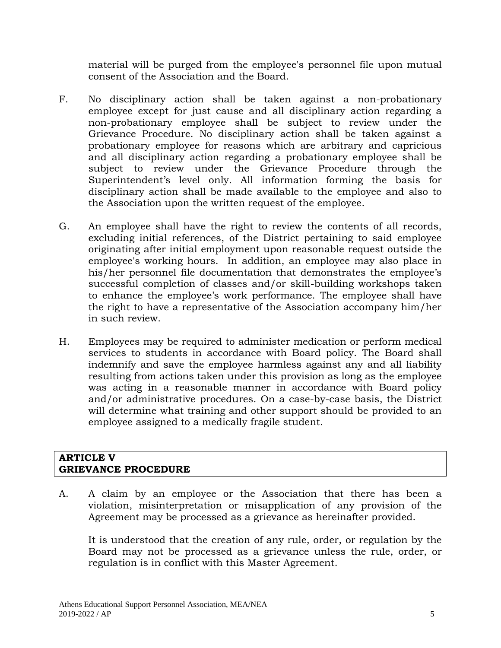material will be purged from the employee's personnel file upon mutual consent of the Association and the Board.

- F. No disciplinary action shall be taken against a non-probationary employee except for just cause and all disciplinary action regarding a non-probationary employee shall be subject to review under the Grievance Procedure. No disciplinary action shall be taken against a probationary employee for reasons which are arbitrary and capricious and all disciplinary action regarding a probationary employee shall be subject to review under the Grievance Procedure through the Superintendent's level only. All information forming the basis for disciplinary action shall be made available to the employee and also to the Association upon the written request of the employee.
- G. An employee shall have the right to review the contents of all records, excluding initial references, of the District pertaining to said employee originating after initial employment upon reasonable request outside the employee's working hours. In addition, an employee may also place in his/her personnel file documentation that demonstrates the employee's successful completion of classes and/or skill-building workshops taken to enhance the employee's work performance. The employee shall have the right to have a representative of the Association accompany him/her in such review.
- H. Employees may be required to administer medication or perform medical services to students in accordance with Board policy. The Board shall indemnify and save the employee harmless against any and all liability resulting from actions taken under this provision as long as the employee was acting in a reasonable manner in accordance with Board policy and/or administrative procedures. On a case-by-case basis, the District will determine what training and other support should be provided to an employee assigned to a medically fragile student.

#### **ARTICLE V GRIEVANCE PROCEDURE**

A. A claim by an employee or the Association that there has been a violation, misinterpretation or misapplication of any provision of the Agreement may be processed as a grievance as hereinafter provided.

It is understood that the creation of any rule, order, or regulation by the Board may not be processed as a grievance unless the rule, order, or regulation is in conflict with this Master Agreement.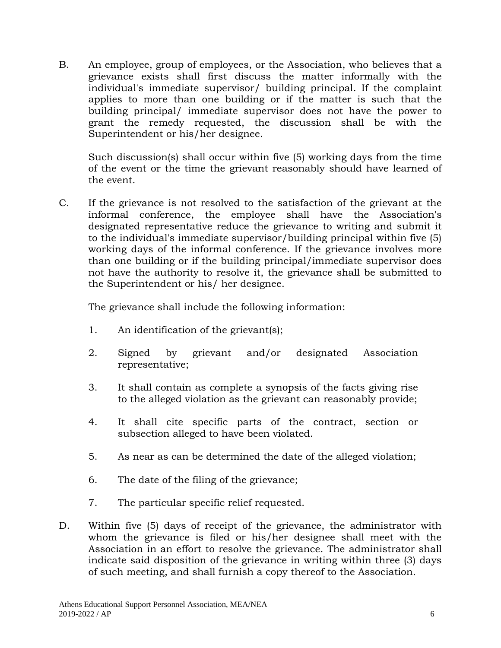B. An employee, group of employees, or the Association, who believes that a grievance exists shall first discuss the matter informally with the individual's immediate supervisor/ building principal. If the complaint applies to more than one building or if the matter is such that the building principal/ immediate supervisor does not have the power to grant the remedy requested, the discussion shall be with the Superintendent or his/her designee.

Such discussion(s) shall occur within five (5) working days from the time of the event or the time the grievant reasonably should have learned of the event.

C. If the grievance is not resolved to the satisfaction of the grievant at the informal conference, the employee shall have the Association's designated representative reduce the grievance to writing and submit it to the individual's immediate supervisor/building principal within five (5) working days of the informal conference. If the grievance involves more than one building or if the building principal/immediate supervisor does not have the authority to resolve it, the grievance shall be submitted to the Superintendent or his/ her designee.

The grievance shall include the following information:

- 1. An identification of the grievant(s);
- 2. Signed by grievant and/or designated Association representative;
- 3. It shall contain as complete a synopsis of the facts giving rise to the alleged violation as the grievant can reasonably provide;
- 4. It shall cite specific parts of the contract, section or subsection alleged to have been violated.
- 5. As near as can be determined the date of the alleged violation;
- 6. The date of the filing of the grievance;
- 7. The particular specific relief requested.
- D. Within five (5) days of receipt of the grievance, the administrator with whom the grievance is filed or his/her designee shall meet with the Association in an effort to resolve the grievance. The administrator shall indicate said disposition of the grievance in writing within three (3) days of such meeting, and shall furnish a copy thereof to the Association.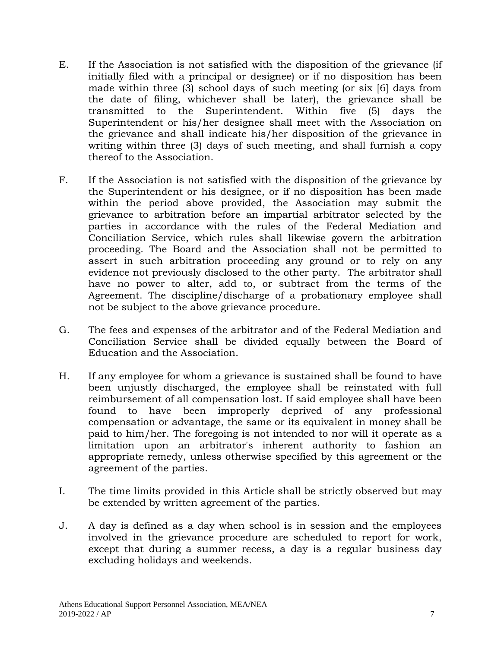- E. If the Association is not satisfied with the disposition of the grievance (if initially filed with a principal or designee) or if no disposition has been made within three (3) school days of such meeting (or six [6] days from the date of filing, whichever shall be later), the grievance shall be transmitted to the Superintendent. Within five (5) days the Superintendent or his/her designee shall meet with the Association on the grievance and shall indicate his/her disposition of the grievance in writing within three (3) days of such meeting, and shall furnish a copy thereof to the Association.
- F. If the Association is not satisfied with the disposition of the grievance by the Superintendent or his designee, or if no disposition has been made within the period above provided, the Association may submit the grievance to arbitration before an impartial arbitrator selected by the parties in accordance with the rules of the Federal Mediation and Conciliation Service, which rules shall likewise govern the arbitration proceeding. The Board and the Association shall not be permitted to assert in such arbitration proceeding any ground or to rely on any evidence not previously disclosed to the other party. The arbitrator shall have no power to alter, add to, or subtract from the terms of the Agreement. The discipline/discharge of a probationary employee shall not be subject to the above grievance procedure.
- G. The fees and expenses of the arbitrator and of the Federal Mediation and Conciliation Service shall be divided equally between the Board of Education and the Association.
- H. If any employee for whom a grievance is sustained shall be found to have been unjustly discharged, the employee shall be reinstated with full reimbursement of all compensation lost. If said employee shall have been found to have been improperly deprived of any professional compensation or advantage, the same or its equivalent in money shall be paid to him/her. The foregoing is not intended to nor will it operate as a limitation upon an arbitrator's inherent authority to fashion an appropriate remedy, unless otherwise specified by this agreement or the agreement of the parties.
- I. The time limits provided in this Article shall be strictly observed but may be extended by written agreement of the parties.
- J. A day is defined as a day when school is in session and the employees involved in the grievance procedure are scheduled to report for work, except that during a summer recess, a day is a regular business day excluding holidays and weekends.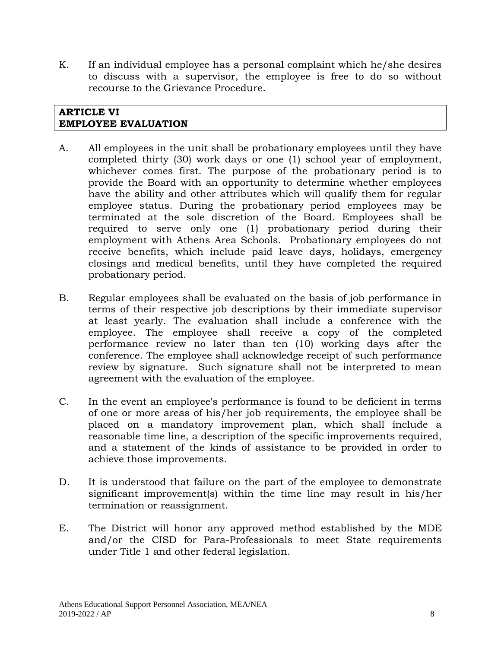K. If an individual employee has a personal complaint which he/she desires to discuss with a supervisor, the employee is free to do so without recourse to the Grievance Procedure.

#### **ARTICLE VI EMPLOYEE EVALUATION**

- A. All employees in the unit shall be probationary employees until they have completed thirty (30) work days or one (1) school year of employment, whichever comes first. The purpose of the probationary period is to provide the Board with an opportunity to determine whether employees have the ability and other attributes which will qualify them for regular employee status. During the probationary period employees may be terminated at the sole discretion of the Board. Employees shall be required to serve only one (1) probationary period during their employment with Athens Area Schools. Probationary employees do not receive benefits, which include paid leave days, holidays, emergency closings and medical benefits, until they have completed the required probationary period.
- B. Regular employees shall be evaluated on the basis of job performance in terms of their respective job descriptions by their immediate supervisor at least yearly. The evaluation shall include a conference with the employee. The employee shall receive a copy of the completed performance review no later than ten (10) working days after the conference. The employee shall acknowledge receipt of such performance review by signature. Such signature shall not be interpreted to mean agreement with the evaluation of the employee.
- C. In the event an employee's performance is found to be deficient in terms of one or more areas of his/her job requirements, the employee shall be placed on a mandatory improvement plan, which shall include a reasonable time line, a description of the specific improvements required, and a statement of the kinds of assistance to be provided in order to achieve those improvements.
- D. It is understood that failure on the part of the employee to demonstrate significant improvement(s) within the time line may result in his/her termination or reassignment.
- E. The District will honor any approved method established by the MDE and/or the CISD for Para-Professionals to meet State requirements under Title 1 and other federal legislation.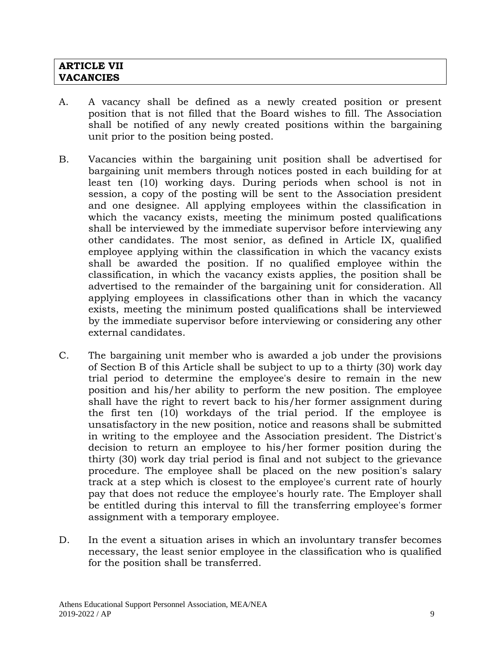#### **ARTICLE VII VACANCIES**

- A. A vacancy shall be defined as a newly created position or present position that is not filled that the Board wishes to fill. The Association shall be notified of any newly created positions within the bargaining unit prior to the position being posted.
- B. Vacancies within the bargaining unit position shall be advertised for bargaining unit members through notices posted in each building for at least ten (10) working days. During periods when school is not in session, a copy of the posting will be sent to the Association president and one designee. All applying employees within the classification in which the vacancy exists, meeting the minimum posted qualifications shall be interviewed by the immediate supervisor before interviewing any other candidates. The most senior, as defined in Article IX, qualified employee applying within the classification in which the vacancy exists shall be awarded the position. If no qualified employee within the classification, in which the vacancy exists applies, the position shall be advertised to the remainder of the bargaining unit for consideration. All applying employees in classifications other than in which the vacancy exists, meeting the minimum posted qualifications shall be interviewed by the immediate supervisor before interviewing or considering any other external candidates.
- C. The bargaining unit member who is awarded a job under the provisions of Section B of this Article shall be subject to up to a thirty (30) work day trial period to determine the employee's desire to remain in the new position and his/her ability to perform the new position. The employee shall have the right to revert back to his/her former assignment during the first ten (10) workdays of the trial period. If the employee is unsatisfactory in the new position, notice and reasons shall be submitted in writing to the employee and the Association president. The District's decision to return an employee to his/her former position during the thirty (30) work day trial period is final and not subject to the grievance procedure. The employee shall be placed on the new position's salary track at a step which is closest to the employee's current rate of hourly pay that does not reduce the employee's hourly rate. The Employer shall be entitled during this interval to fill the transferring employee's former assignment with a temporary employee.
- D. In the event a situation arises in which an involuntary transfer becomes necessary, the least senior employee in the classification who is qualified for the position shall be transferred.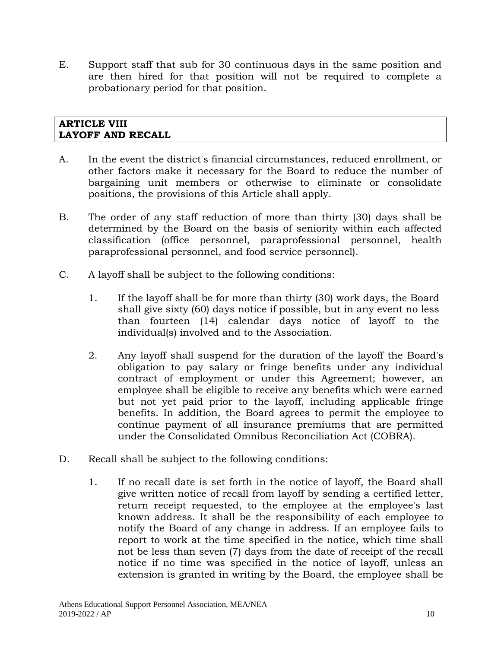E. Support staff that sub for 30 continuous days in the same position and are then hired for that position will not be required to complete a probationary period for that position.

## **ARTICLE VIII LAYOFF AND RECALL**

- A. In the event the district's financial circumstances, reduced enrollment, or other factors make it necessary for the Board to reduce the number of bargaining unit members or otherwise to eliminate or consolidate positions, the provisions of this Article shall apply.
- B. The order of any staff reduction of more than thirty (30) days shall be determined by the Board on the basis of seniority within each affected classification (office personnel, paraprofessional personnel, health paraprofessional personnel, and food service personnel).
- C. A layoff shall be subject to the following conditions:
	- 1. If the layoff shall be for more than thirty (30) work days, the Board shall give sixty (60) days notice if possible, but in any event no less than fourteen (14) calendar days notice of layoff to the individual(s) involved and to the Association.
	- 2. Any layoff shall suspend for the duration of the layoff the Board's obligation to pay salary or fringe benefits under any individual contract of employment or under this Agreement; however, an employee shall be eligible to receive any benefits which were earned but not yet paid prior to the layoff, including applicable fringe benefits. In addition, the Board agrees to permit the employee to continue payment of all insurance premiums that are permitted under the Consolidated Omnibus Reconciliation Act (COBRA).
- D. Recall shall be subject to the following conditions:
	- 1. If no recall date is set forth in the notice of layoff, the Board shall give written notice of recall from layoff by sending a certified letter, return receipt requested, to the employee at the employee's last known address. It shall be the responsibility of each employee to notify the Board of any change in address. If an employee fails to report to work at the time specified in the notice, which time shall not be less than seven (7) days from the date of receipt of the recall notice if no time was specified in the notice of layoff, unless an extension is granted in writing by the Board, the employee shall be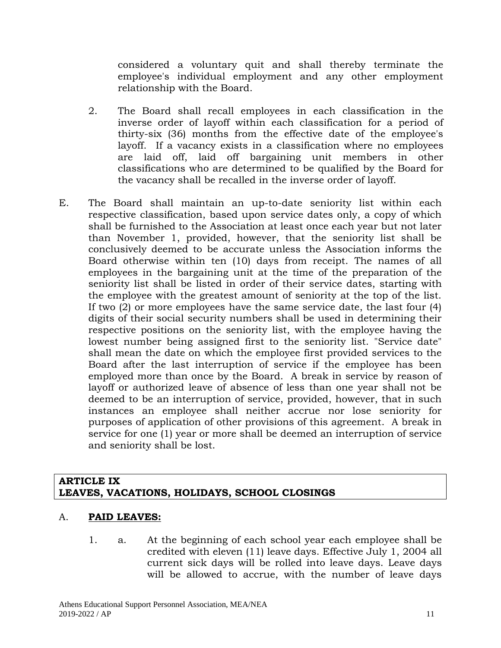considered a voluntary quit and shall thereby terminate the employee's individual employment and any other employment relationship with the Board.

- 2. The Board shall recall employees in each classification in the inverse order of layoff within each classification for a period of thirty-six (36) months from the effective date of the employee's layoff. If a vacancy exists in a classification where no employees are laid off, laid off bargaining unit members in other classifications who are determined to be qualified by the Board for the vacancy shall be recalled in the inverse order of layoff.
- E. The Board shall maintain an up-to-date seniority list within each respective classification, based upon service dates only, a copy of which shall be furnished to the Association at least once each year but not later than November 1, provided, however, that the seniority list shall be conclusively deemed to be accurate unless the Association informs the Board otherwise within ten (10) days from receipt. The names of all employees in the bargaining unit at the time of the preparation of the seniority list shall be listed in order of their service dates, starting with the employee with the greatest amount of seniority at the top of the list. If two (2) or more employees have the same service date, the last four (4) digits of their social security numbers shall be used in determining their respective positions on the seniority list, with the employee having the lowest number being assigned first to the seniority list. "Service date" shall mean the date on which the employee first provided services to the Board after the last interruption of service if the employee has been employed more than once by the Board. A break in service by reason of layoff or authorized leave of absence of less than one year shall not be deemed to be an interruption of service, provided, however, that in such instances an employee shall neither accrue nor lose seniority for purposes of application of other provisions of this agreement. A break in service for one (1) year or more shall be deemed an interruption of service and seniority shall be lost.

#### **ARTICLE IX LEAVES, VACATIONS, HOLIDAYS, SCHOOL CLOSINGS**

# A. **PAID LEAVES:**

1. a. At the beginning of each school year each employee shall be credited with eleven (11) leave days. Effective July 1, 2004 all current sick days will be rolled into leave days. Leave days will be allowed to accrue, with the number of leave days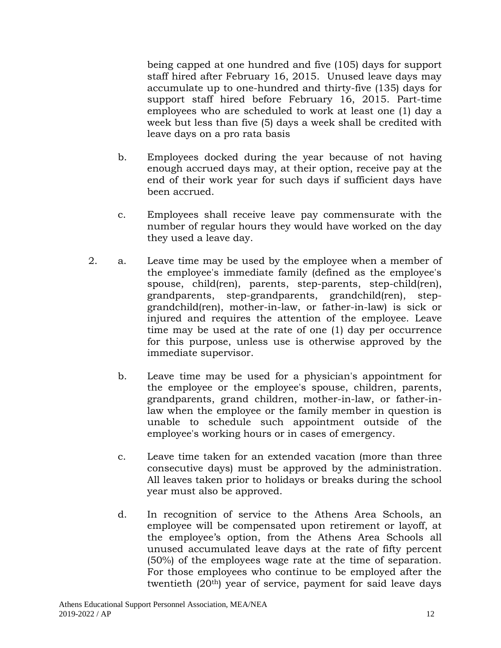being capped at one hundred and five (105) days for support staff hired after February 16, 2015. Unused leave days may accumulate up to one-hundred and thirty-five (135) days for support staff hired before February 16, 2015. Part-time employees who are scheduled to work at least one (1) day a week but less than five (5) days a week shall be credited with leave days on a pro rata basis

- b. Employees docked during the year because of not having enough accrued days may, at their option, receive pay at the end of their work year for such days if sufficient days have been accrued.
- c. Employees shall receive leave pay commensurate with the number of regular hours they would have worked on the day they used a leave day.
- 2. a. Leave time may be used by the employee when a member of the employee's immediate family (defined as the employee's spouse, child(ren), parents, step-parents, step-child(ren), grandparents, step-grandparents, grandchild(ren), stepgrandchild(ren), mother-in-law, or father-in-law) is sick or injured and requires the attention of the employee. Leave time may be used at the rate of one (1) day per occurrence for this purpose, unless use is otherwise approved by the immediate supervisor.
	- b. Leave time may be used for a physician's appointment for the employee or the employee's spouse, children, parents, grandparents, grand children, mother-in-law, or father-inlaw when the employee or the family member in question is unable to schedule such appointment outside of the employee's working hours or in cases of emergency.
	- c. Leave time taken for an extended vacation (more than three consecutive days) must be approved by the administration. All leaves taken prior to holidays or breaks during the school year must also be approved.
	- d. In recognition of service to the Athens Area Schools, an employee will be compensated upon retirement or layoff, at the employee's option, from the Athens Area Schools all unused accumulated leave days at the rate of fifty percent (50%) of the employees wage rate at the time of separation. For those employees who continue to be employed after the twentieth (20<sup>th</sup>) year of service, payment for said leave days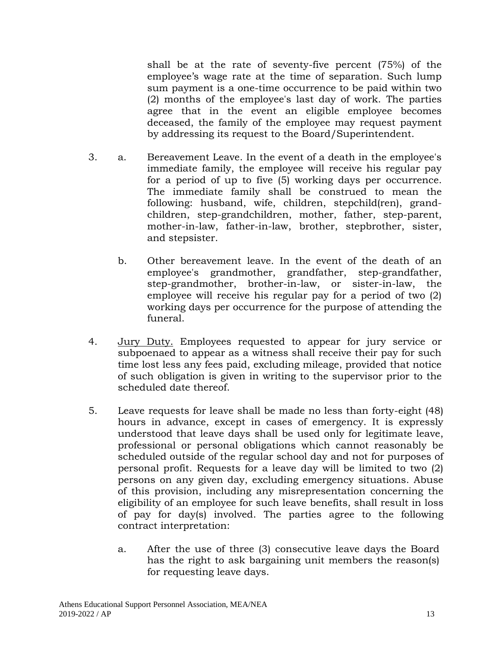shall be at the rate of seventy-five percent (75%) of the employee's wage rate at the time of separation. Such lump sum payment is a one-time occurrence to be paid within two (2) months of the employee's last day of work. The parties agree that in the event an eligible employee becomes deceased, the family of the employee may request payment by addressing its request to the Board/Superintendent.

- 3. a. Bereavement Leave. In the event of a death in the employee's immediate family, the employee will receive his regular pay for a period of up to five (5) working days per occurrence. The immediate family shall be construed to mean the following: husband, wife, children, stepchild(ren), grandchildren, step-grandchildren, mother, father, step-parent, mother-in-law, father-in-law, brother, stepbrother, sister, and stepsister.
	- b. Other bereavement leave. In the event of the death of an employee's grandmother, grandfather, step-grandfather, step-grandmother, brother-in-law, or sister-in-law, the employee will receive his regular pay for a period of two (2) working days per occurrence for the purpose of attending the funeral.
- 4. Jury Duty. Employees requested to appear for jury service or subpoenaed to appear as a witness shall receive their pay for such time lost less any fees paid, excluding mileage, provided that notice of such obligation is given in writing to the supervisor prior to the scheduled date thereof.
- 5. Leave requests for leave shall be made no less than forty-eight (48) hours in advance, except in cases of emergency. It is expressly understood that leave days shall be used only for legitimate leave, professional or personal obligations which cannot reasonably be scheduled outside of the regular school day and not for purposes of personal profit. Requests for a leave day will be limited to two (2) persons on any given day, excluding emergency situations. Abuse of this provision, including any misrepresentation concerning the eligibility of an employee for such leave benefits, shall result in loss of pay for day(s) involved. The parties agree to the following contract interpretation:
	- a. After the use of three (3) consecutive leave days the Board has the right to ask bargaining unit members the reason(s) for requesting leave days.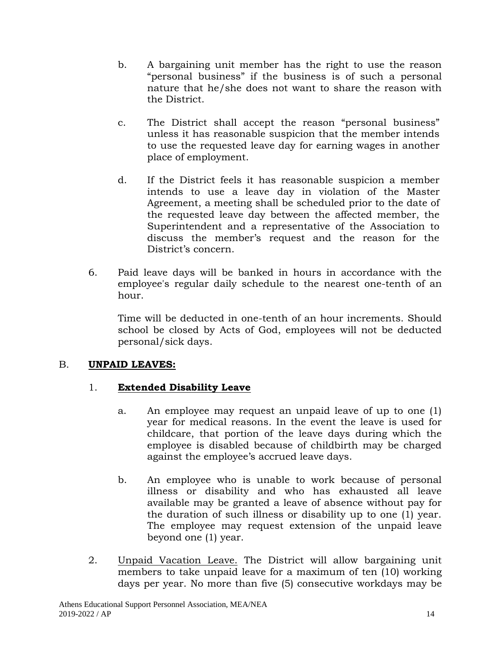- b. A bargaining unit member has the right to use the reason "personal business" if the business is of such a personal nature that he/she does not want to share the reason with the District.
- c. The District shall accept the reason "personal business" unless it has reasonable suspicion that the member intends to use the requested leave day for earning wages in another place of employment.
- d. If the District feels it has reasonable suspicion a member intends to use a leave day in violation of the Master Agreement, a meeting shall be scheduled prior to the date of the requested leave day between the affected member, the Superintendent and a representative of the Association to discuss the member's request and the reason for the District's concern.
- 6. Paid leave days will be banked in hours in accordance with the employee's regular daily schedule to the nearest one-tenth of an hour.

Time will be deducted in one-tenth of an hour increments. Should school be closed by Acts of God, employees will not be deducted personal/sick days.

# B. **UNPAID LEAVES:**

# 1. **Extended Disability Leave**

- a. An employee may request an unpaid leave of up to one (1) year for medical reasons. In the event the leave is used for childcare, that portion of the leave days during which the employee is disabled because of childbirth may be charged against the employee's accrued leave days.
- b. An employee who is unable to work because of personal illness or disability and who has exhausted all leave available may be granted a leave of absence without pay for the duration of such illness or disability up to one (1) year. The employee may request extension of the unpaid leave beyond one (1) year.
- 2. Unpaid Vacation Leave. The District will allow bargaining unit members to take unpaid leave for a maximum of ten (10) working days per year. No more than five (5) consecutive workdays may be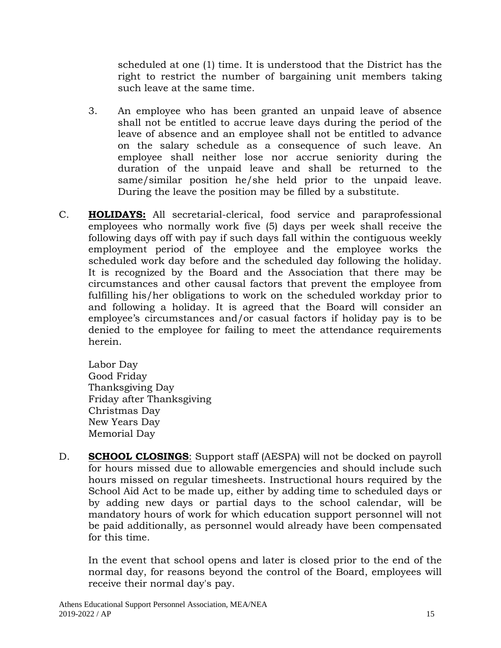scheduled at one (1) time. It is understood that the District has the right to restrict the number of bargaining unit members taking such leave at the same time.

- 3. An employee who has been granted an unpaid leave of absence shall not be entitled to accrue leave days during the period of the leave of absence and an employee shall not be entitled to advance on the salary schedule as a consequence of such leave. An employee shall neither lose nor accrue seniority during the duration of the unpaid leave and shall be returned to the same/similar position he/she held prior to the unpaid leave. During the leave the position may be filled by a substitute.
- C. **HOLIDAYS:** All secretarial-clerical, food service and paraprofessional employees who normally work five (5) days per week shall receive the following days off with pay if such days fall within the contiguous weekly employment period of the employee and the employee works the scheduled work day before and the scheduled day following the holiday. It is recognized by the Board and the Association that there may be circumstances and other causal factors that prevent the employee from fulfilling his/her obligations to work on the scheduled workday prior to and following a holiday. It is agreed that the Board will consider an employee's circumstances and/or casual factors if holiday pay is to be denied to the employee for failing to meet the attendance requirements herein.

Labor Day Good Friday Thanksgiving Day Friday after Thanksgiving Christmas Day New Years Day Memorial Day

D. **SCHOOL CLOSINGS**: Support staff (AESPA) will not be docked on payroll for hours missed due to allowable emergencies and should include such hours missed on regular timesheets. Instructional hours required by the School Aid Act to be made up, either by adding time to scheduled days or by adding new days or partial days to the school calendar, will be mandatory hours of work for which education support personnel will not be paid additionally, as personnel would already have been compensated for this time.

In the event that school opens and later is closed prior to the end of the normal day, for reasons beyond the control of the Board, employees will receive their normal day's pay.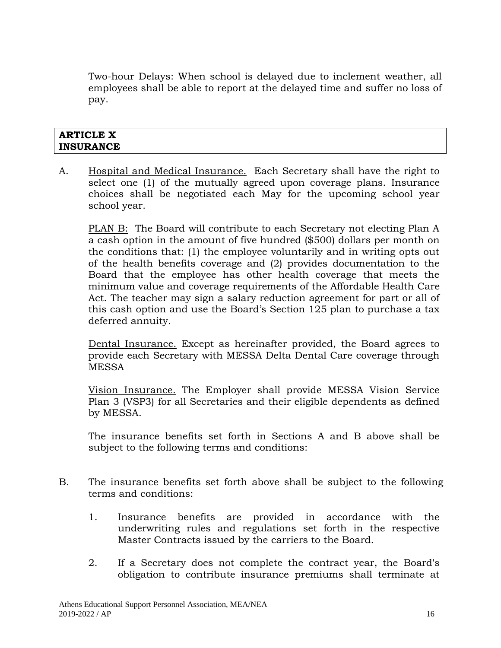Two-hour Delays: When school is delayed due to inclement weather, all employees shall be able to report at the delayed time and suffer no loss of pay.

#### **ARTICLE X INSURANCE**

A. Hospital and Medical Insurance. Each Secretary shall have the right to select one (1) of the mutually agreed upon coverage plans. Insurance choices shall be negotiated each May for the upcoming school year school year.

PLAN B: The Board will contribute to each Secretary not electing Plan A a cash option in the amount of five hundred (\$500) dollars per month on the conditions that: (1) the employee voluntarily and in writing opts out of the health benefits coverage and (2) provides documentation to the Board that the employee has other health coverage that meets the minimum value and coverage requirements of the Affordable Health Care Act. The teacher may sign a salary reduction agreement for part or all of this cash option and use the Board's Section 125 plan to purchase a tax deferred annuity.

Dental Insurance. Except as hereinafter provided, the Board agrees to provide each Secretary with MESSA Delta Dental Care coverage through MESSA

Vision Insurance. The Employer shall provide MESSA Vision Service Plan 3 (VSP3) for all Secretaries and their eligible dependents as defined by MESSA.

The insurance benefits set forth in Sections A and B above shall be subject to the following terms and conditions:

- B. The insurance benefits set forth above shall be subject to the following terms and conditions:
	- 1. Insurance benefits are provided in accordance with the underwriting rules and regulations set forth in the respective Master Contracts issued by the carriers to the Board.
	- 2. If a Secretary does not complete the contract year, the Board's obligation to contribute insurance premiums shall terminate at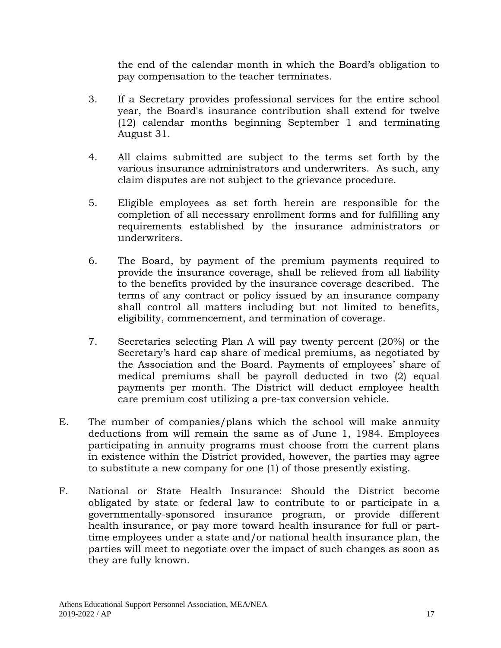the end of the calendar month in which the Board's obligation to pay compensation to the teacher terminates.

- 3. If a Secretary provides professional services for the entire school year, the Board's insurance contribution shall extend for twelve (12) calendar months beginning September 1 and terminating August 31.
- 4. All claims submitted are subject to the terms set forth by the various insurance administrators and underwriters. As such, any claim disputes are not subject to the grievance procedure.
- 5. Eligible employees as set forth herein are responsible for the completion of all necessary enrollment forms and for fulfilling any requirements established by the insurance administrators or underwriters.
- 6. The Board, by payment of the premium payments required to provide the insurance coverage, shall be relieved from all liability to the benefits provided by the insurance coverage described. The terms of any contract or policy issued by an insurance company shall control all matters including but not limited to benefits, eligibility, commencement, and termination of coverage.
- 7. Secretaries selecting Plan A will pay twenty percent (20%) or the Secretary's hard cap share of medical premiums, as negotiated by the Association and the Board. Payments of employees' share of medical premiums shall be payroll deducted in two (2) equal payments per month. The District will deduct employee health care premium cost utilizing a pre-tax conversion vehicle.
- E. The number of companies/plans which the school will make annuity deductions from will remain the same as of June 1, 1984. Employees participating in annuity programs must choose from the current plans in existence within the District provided, however, the parties may agree to substitute a new company for one (1) of those presently existing.
- F. National or State Health Insurance: Should the District become obligated by state or federal law to contribute to or participate in a governmentally-sponsored insurance program, or provide different health insurance, or pay more toward health insurance for full or parttime employees under a state and/or national health insurance plan, the parties will meet to negotiate over the impact of such changes as soon as they are fully known.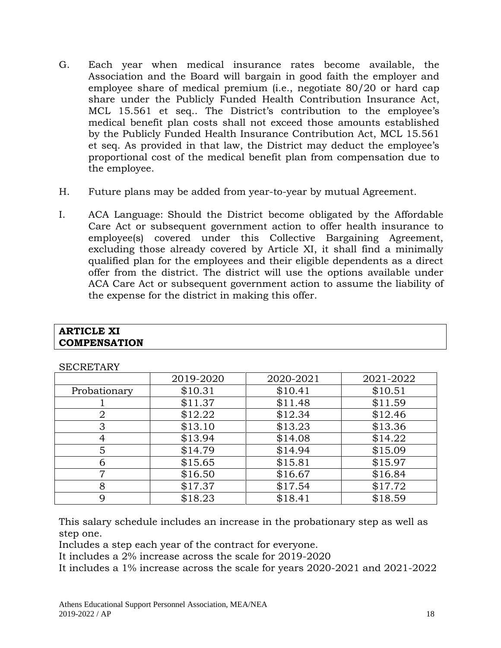- G. Each year when medical insurance rates become available, the Association and the Board will bargain in good faith the employer and employee share of medical premium (i.e., negotiate 80/20 or hard cap share under the Publicly Funded Health Contribution Insurance Act, MCL 15.561 et seq.. The District's contribution to the employee's medical benefit plan costs shall not exceed those amounts established by the Publicly Funded Health Insurance Contribution Act, MCL 15.561 et seq. As provided in that law, the District may deduct the employee's proportional cost of the medical benefit plan from compensation due to the employee.
- H. Future plans may be added from year-to-year by mutual Agreement.
- I. ACA Language: Should the District become obligated by the Affordable Care Act or subsequent government action to offer health insurance to employee(s) covered under this Collective Bargaining Agreement, excluding those already covered by Article XI, it shall find a minimally qualified plan for the employees and their eligible dependents as a direct offer from the district. The district will use the options available under ACA Care Act or subsequent government action to assume the liability of the expense for the district in making this offer.

| <b>SECRETARY</b> |           |           |           |
|------------------|-----------|-----------|-----------|
|                  | 2019-2020 | 2020-2021 | 2021-2022 |
| Probationary     | \$10.31   | \$10.41   | \$10.51   |
|                  | \$11.37   | \$11.48   | \$11.59   |
| $\overline{2}$   | \$12.22   | \$12.34   | \$12.46   |
| 3                | \$13.10   | \$13.23   | \$13.36   |
| 4                | \$13.94   | \$14.08   | \$14.22   |
| 5                | \$14.79   | \$14.94   | \$15.09   |
| 6                | \$15.65   | \$15.81   | \$15.97   |
| 7                | \$16.50   | \$16.67   | \$16.84   |
| 8                | \$17.37   | \$17.54   | \$17.72   |
| 9                | \$18.23   | \$18.41   | \$18.59   |

This salary schedule includes an increase in the probationary step as well as step one.

Includes a step each year of the contract for everyone.

It includes a 2% increase across the scale for 2019-2020

It includes a 1% increase across the scale for years 2020-2021 and 2021-2022

**ARTICLE XI**

**COMPENSATION**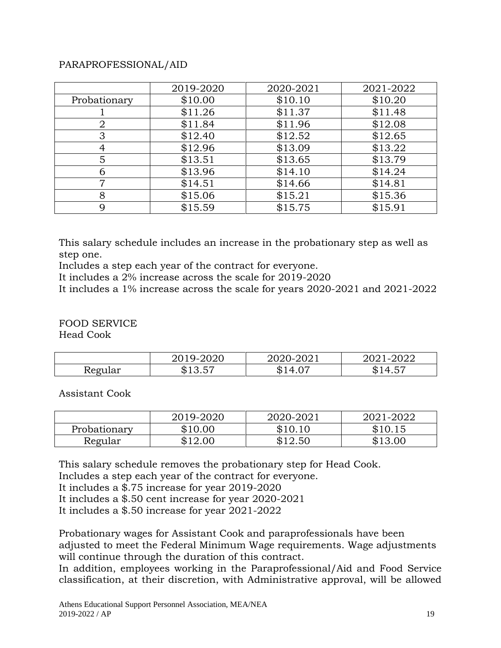#### PARAPROFESSIONAL/AID

|              | 2019-2020 | 2020-2021 | 2021-2022 |
|--------------|-----------|-----------|-----------|
| Probationary | \$10.00   | \$10.10   | \$10.20   |
|              | \$11.26   | \$11.37   | \$11.48   |
| 2            | \$11.84   | \$11.96   | \$12.08   |
| 3            | \$12.40   | \$12.52   | \$12.65   |
|              | \$12.96   | \$13.09   | \$13.22   |
| 5            | \$13.51   | \$13.65   | \$13.79   |
|              | \$13.96   | \$14.10   | \$14.24   |
|              | \$14.51   | \$14.66   | \$14.81   |
| 8            | \$15.06   | \$15.21   | \$15.36   |
|              | \$15.59   | \$15.75   | \$15.91   |

This salary schedule includes an increase in the probationary step as well as step one.

Includes a step each year of the contract for everyone.

It includes a 2% increase across the scale for 2019-2020

It includes a 1% increase across the scale for years 2020-2021 and 2021-2022

FOOD SERVICE Head Cook

|         | 9-2020.<br>2019 | 2020-2021       | 2022<br>$\overline{\phantom{a}}$ |
|---------|-----------------|-----------------|----------------------------------|
| Regular | ドク              | $\Delta$<br>ND. | $ -$<br>NJ                       |

Assistant Cook

|              | 2019-2020 | 2020-2021 | 2021-2022 |
|--------------|-----------|-----------|-----------|
| Probationary | \$10.00   | \$10.10   | \$10.15   |
| Regular      | \$12.00   | \$12.50   | \$13.00   |

This salary schedule removes the probationary step for Head Cook.

Includes a step each year of the contract for everyone.

It includes a \$.75 increase for year 2019-2020

It includes a \$.50 cent increase for year 2020-2021

It includes a \$.50 increase for year 2021-2022

Probationary wages for Assistant Cook and paraprofessionals have been adjusted to meet the Federal Minimum Wage requirements. Wage adjustments will continue through the duration of this contract.

In addition, employees working in the Paraprofessional/Aid and Food Service classification, at their discretion, with Administrative approval, will be allowed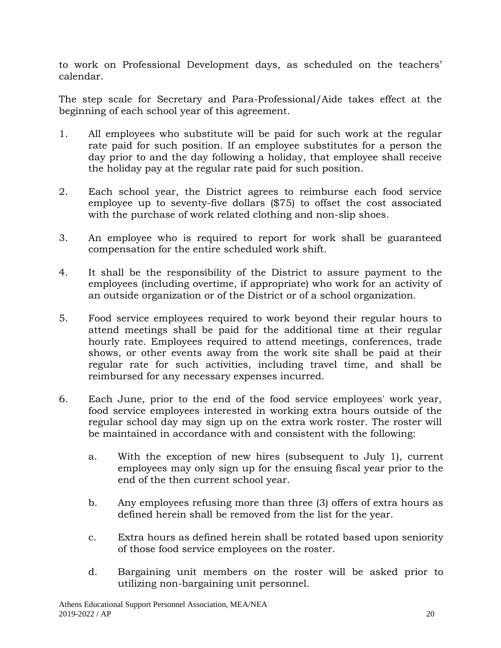to work on Professional Development days, as scheduled on the teachers' calendar.

The step scale for Secretary and Para-Professional/Aide takes effect at the beginning of each school year of this agreement.

- 1. All employees who substitute will be paid for such work at the regular rate paid for such position. If an employee substitutes for a person the day prior to and the day following a holiday, that employee shall receive the holiday pay at the regular rate paid for such position.
- 2. Each school year, the District agrees to reimburse each food service employee up to seventy-five dollars (\$75) to offset the cost associated with the purchase of work related clothing and non-slip shoes.
- 3. An employee who is required to report for work shall be guaranteed compensation for the entire scheduled work shift.
- 4. It shall be the responsibility of the District to assure payment to the employees (including overtime, if appropriate) who work for an activity of an outside organization or of the District or of a school organization.
- 5. Food service employees required to work beyond their regular hours to attend meetings shall be paid for the additional time at their regular hourly rate. Employees required to attend meetings, conferences, trade shows, or other events away from the work site shall be paid at their regular rate for such activities, including travel time, and shall be reimbursed for any necessary expenses incurred.
- 6. Each June, prior to the end of the food service employees' work year, food service employees interested in working extra hours outside of the regular school day may sign up on the extra work roster. The roster will be maintained in accordance with and consistent with the following:
	- a. With the exception of new hires (subsequent to July 1), current employees may only sign up for the ensuing fiscal year prior to the end of the then current school year.
	- b. Any employees refusing more than three (3) offers of extra hours as defined herein shall be removed from the list for the year.
	- c. Extra hours as defined herein shall be rotated based upon seniority of those food service employees on the roster.
	- d. Bargaining unit members on the roster will be asked prior to utilizing non-bargaining unit personnel.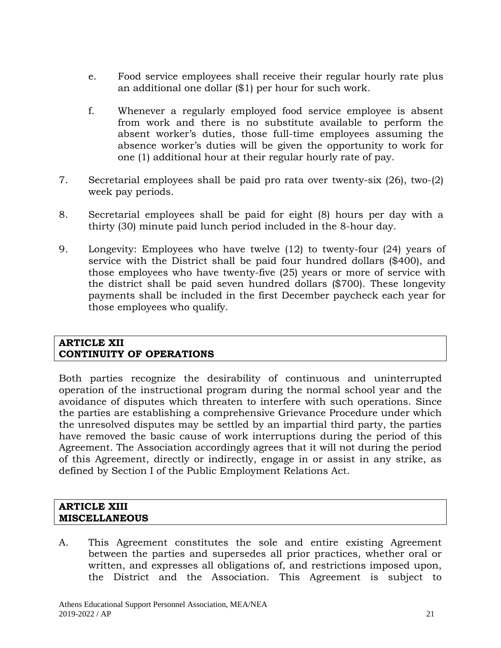- e. Food service employees shall receive their regular hourly rate plus an additional one dollar (\$1) per hour for such work.
- f. Whenever a regularly employed food service employee is absent from work and there is no substitute available to perform the absent worker's duties, those full-time employees assuming the absence worker's duties will be given the opportunity to work for one (1) additional hour at their regular hourly rate of pay.
- 7. Secretarial employees shall be paid pro rata over twenty-six (26), two-(2) week pay periods.
- 8. Secretarial employees shall be paid for eight (8) hours per day with a thirty (30) minute paid lunch period included in the 8-hour day.
- 9. Longevity: Employees who have twelve (12) to twenty-four (24) years of service with the District shall be paid four hundred dollars (\$400), and those employees who have twenty-five (25) years or more of service with the district shall be paid seven hundred dollars (\$700). These longevity payments shall be included in the first December paycheck each year for those employees who qualify.

#### **ARTICLE XII CONTINUITY OF OPERATIONS**

Both parties recognize the desirability of continuous and uninterrupted operation of the instructional program during the normal school year and the avoidance of disputes which threaten to interfere with such operations. Since the parties are establishing a comprehensive Grievance Procedure under which the unresolved disputes may be settled by an impartial third party, the parties have removed the basic cause of work interruptions during the period of this Agreement. The Association accordingly agrees that it will not during the period of this Agreement, directly or indirectly, engage in or assist in any strike, as defined by Section I of the Public Employment Relations Act.

#### **ARTICLE XIII MISCELLANEOUS**

A. This Agreement constitutes the sole and entire existing Agreement between the parties and supersedes all prior practices, whether oral or written, and expresses all obligations of, and restrictions imposed upon, the District and the Association. This Agreement is subject to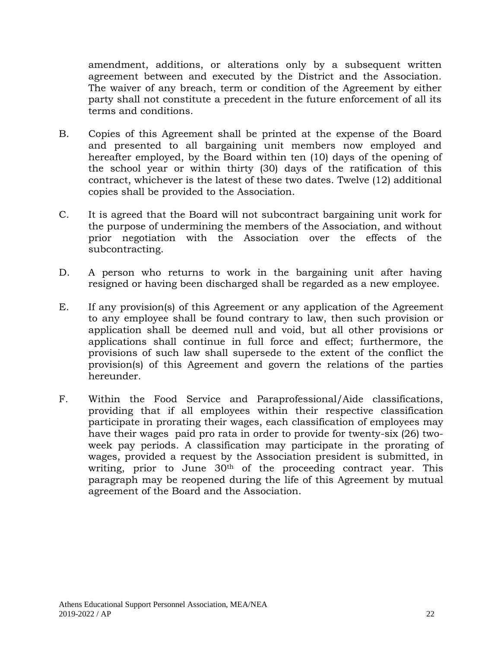amendment, additions, or alterations only by a subsequent written agreement between and executed by the District and the Association. The waiver of any breach, term or condition of the Agreement by either party shall not constitute a precedent in the future enforcement of all its terms and conditions.

- B. Copies of this Agreement shall be printed at the expense of the Board and presented to all bargaining unit members now employed and hereafter employed, by the Board within ten (10) days of the opening of the school year or within thirty (30) days of the ratification of this contract, whichever is the latest of these two dates. Twelve (12) additional copies shall be provided to the Association.
- C. It is agreed that the Board will not subcontract bargaining unit work for the purpose of undermining the members of the Association, and without prior negotiation with the Association over the effects of the subcontracting.
- D. A person who returns to work in the bargaining unit after having resigned or having been discharged shall be regarded as a new employee.
- E. If any provision(s) of this Agreement or any application of the Agreement to any employee shall be found contrary to law, then such provision or application shall be deemed null and void, but all other provisions or applications shall continue in full force and effect; furthermore, the provisions of such law shall supersede to the extent of the conflict the provision(s) of this Agreement and govern the relations of the parties hereunder.
- F. Within the Food Service and Paraprofessional/Aide classifications, providing that if all employees within their respective classification participate in prorating their wages, each classification of employees may have their wages paid pro rata in order to provide for twenty-six (26) twoweek pay periods. A classification may participate in the prorating of wages, provided a request by the Association president is submitted, in writing, prior to June 30<sup>th</sup> of the proceeding contract year. This paragraph may be reopened during the life of this Agreement by mutual agreement of the Board and the Association.